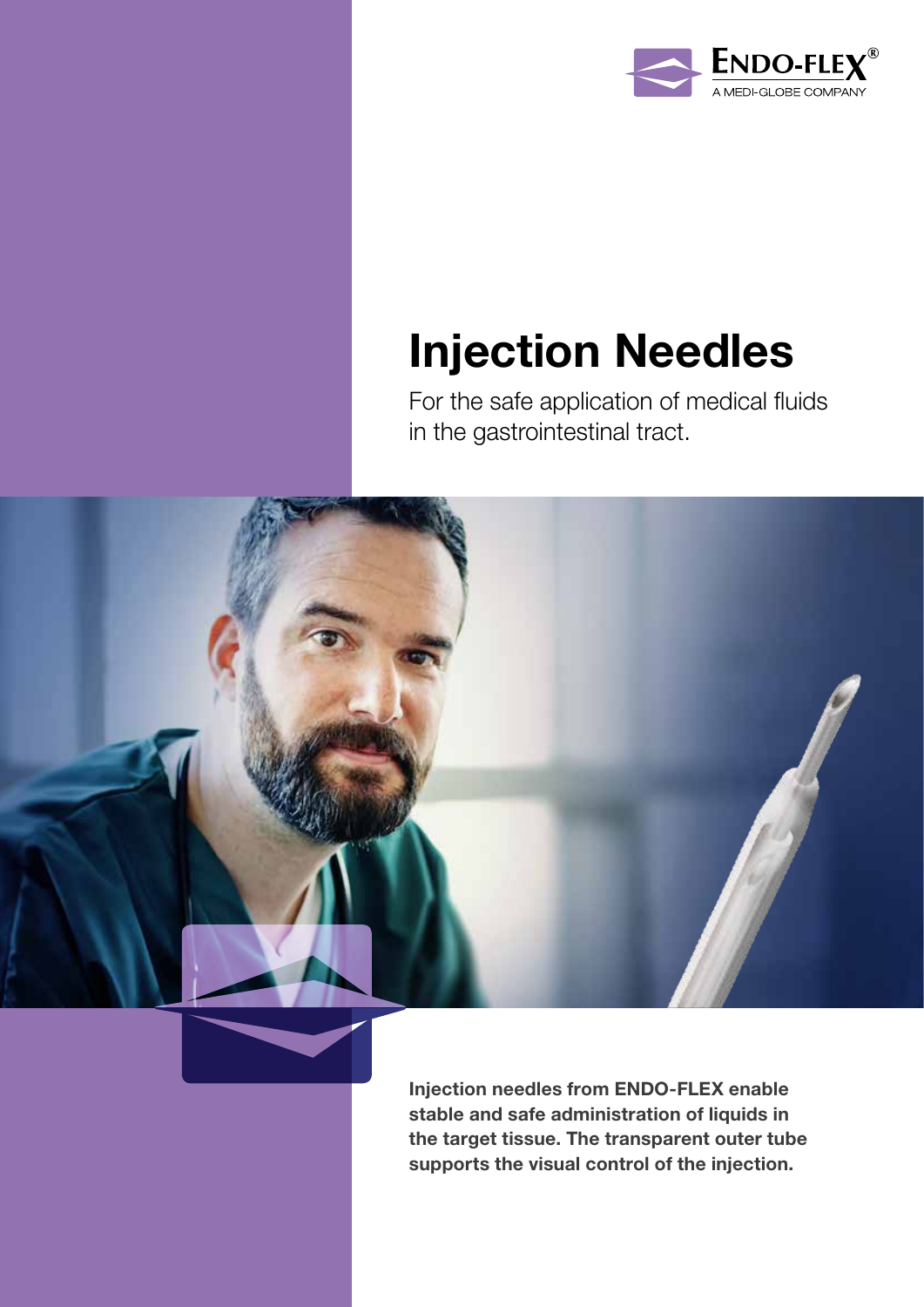

## Injection Needles

For the safe application of medical fluids in the gastrointestinal tract.



Injection needles from ENDO-FLEX enable stable and safe administration of liquids in the target tissue. The transparent outer tube supports the visual control of the injection.